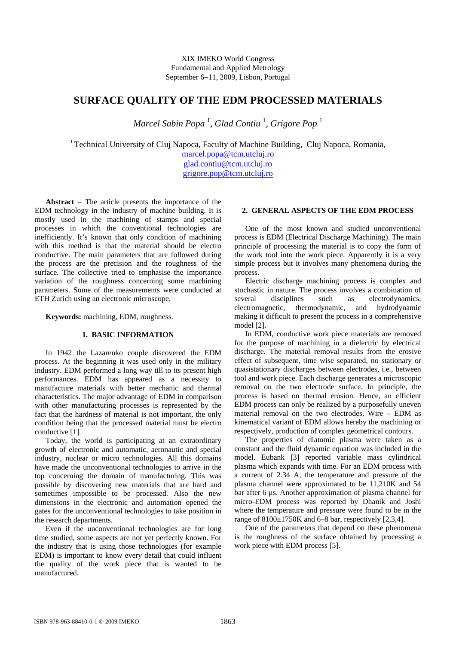## XIX IMEKO World Congress Fundamental and Applied Metrology September 6−11, 2009, Lisbon, Portugal

# **SURFACE QUALITY OF THE EDM PROCESSED MATERIALS**

*Marcel Sabin Popa* <sup>1</sup> , *Glad Contiu* <sup>1</sup> , *Grigore Pop* <sup>1</sup>

<sup>1</sup> Technical University of Cluj Napoca, Faculty of Machine Building, Cluj Napoca, Romania, marcel.popa@tcm.utcluj.ro glad.contiu@tcm.utcluj.ro

grigore.pop@tcm.utcluj.ro

**Abstract** − The article presents the importance of the EDM technology in the industry of machine building. It is mostly used in the machining of stamps and special processes in which the conventional technologies are inefficiently. It's known that only condition of machining with this method is that the material should be electro conductive. The main parameters that are followed during the process are the precision and the roughness of the surface. The collective tried to emphasise the importance variation of the roughness concerning some machining parameters. Some of the measurements were conducted at ETH Zurich using an electronic microscope.

**Keywords:** machining, EDM, roughness.

### **1. BASIC INFORMATION**

In 1942 the Lazarenko couple discovered the EDM process. At the beginning it was used only in the military industry. EDM performed a long way till to its present high performances. EDM has appeared as a necessity to manufacture materials with better mechanic and thermal characteristics. The major advantage of EDM in comparison with other manufacturing processes is represented by the fact that the hardness of material is not important, the only condition being that the processed material must be electro conductive [1].

Today, the world is participating at an extraordinary growth of electronic and automatic, aeronautic and special industry, nuclear or micro technologies. All this domains have made the unconventional technologies to arrive in the top concerning the domain of manufacturing. This was possible by discovering new materials that are hard and sometimes impossible to be processed. Also the new dimensions in the electronic and automation opened the gates for the unconventional technologies to take position in the research departments.

Even if the unconventional technologies are for long time studied, some aspects are not yet perfectly known. For the industry that is using those technologies (for example EDM) is important to know every detail that could influent the quality of the work piece that is wanted to be manufactured.

#### **2. GENERAL ASPECTS OF THE EDM PROCESS**

One of the most known and studied unconventional process is EDM (Electrical Discharge Machining). The main principle of processing the material is to copy the form of the work tool into the work piece. Apparently it is a very simple process but it involves many phenomena during the process.

Electric discharge machining process is complex and stochastic in nature. The process involves a combination of several disciplines such as electrodynamics, electromagnetic, thermodynamic, and hydrodynamic making it difficult to present the process in a comprehensive model [2].

In EDM, conductive work piece materials are removed for the purpose of machining in a dielectric by electrical discharge. The material removal results from the erosive effect of subsequent, time wise separated, no stationary or quasistationary discharges between electrodes, i.e., between tool and work piece. Each discharge generates a microscopic removal on the two electrode surface. In principle, the process is based on thermal erosion. Hence, an efficient EDM process can only be realized by a purposefully uneven material removal on the two electrodes. Wire – EDM as kinematical variant of EDM allows hereby the machining or respectively, production of complex geometrical contours.

The properties of diatomic plasma were taken as a constant and the fluid dynamic equation was included in the model. Eubank [3] reported variable mass cylindrical plasma which expands with time. For an EDM process with a current of 2.34 A, the temperature and pressure of the plasma channel were approximated to be 11,210K and 54 bar after 6 us. Another approximation of plasma channel for micro-EDM process was reported by Dhanik and Joshi where the temperature and pressure were found to be in the range of  $8100\pm1750$ K and 6–8 bar, respectively [2,3,4].

One of the parameters that depend on these phenomena is the roughness of the surface obtained by processing a work piece with EDM process [5].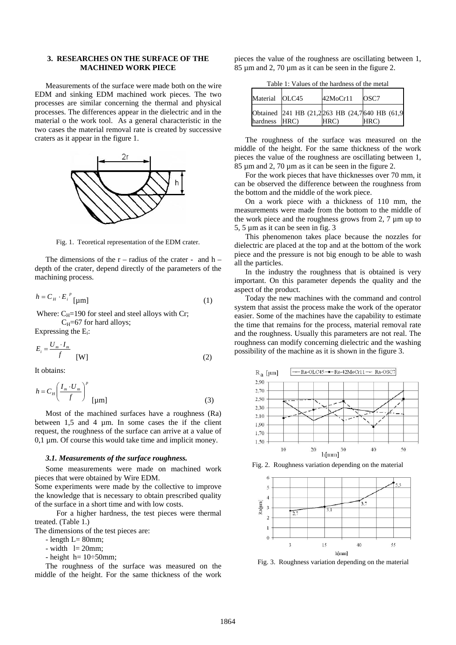### **3. RESEARCHES ON THE SURFACE OF THE MACHINED WORK PIECE**

 Measurements of the surface were made both on the wire EDM and sinking EDM machined work pieces. The two processes are similar concerning the thermal and physical processes. The differences appear in the dielectric and in the material o the work tool. As a general characteristic in the two cases the material removal rate is created by successive craters as it appear in the figure 1.



Fig. 1. Teoretical representation of the EDM crater.

The dimensions of the  $r$  – radius of the crater - and  $h$  – depth of the crater, depend directly of the parameters of the machining process.

$$
h = C_H \cdot E_i^{\ \rho} \left[ \mu \mathbf{m} \right] \tag{1}
$$

Where:  $C_H$ =190 for steel and steel alloys with Cr;  $C_H$ =67 for hard alloys;

Expressing the  $E_i$ :

$$
E_i = \frac{U_m \cdot I_m}{f} \quad \text{[W]} \tag{2}
$$

It obtains:

$$
h = C_H \left(\frac{I_m \cdot U_m}{f}\right)^p
$$
 
$$
[\mu \mathbf{m}]
$$
 (3)

 Most of the machined surfaces have a roughness (Ra) between 1,5 and 4 µm. In some cases the if the client request, the roughness of the surface can arrive at a value of  $0,1 \mu$ m. Of course this would take time and implicit money.

#### *3.1. Measurements of the surface roughness.*

Some measurements were made on machined work pieces that were obtained by Wire EDM.

Some experiments were made by the collective to improve the knowledge that is necessary to obtain prescribed quality of the surface in a short time and with low costs.

 For a higher hardness, the test pieces were thermal treated. (Table 1.)

The dimensions of the test pieces are:

- $-$  length  $L= 80$ mm;
- $-$  width  $l= 20$ mm;
- $-$  height h=  $10\div 50$ mm;

The roughness of the surface was measured on the middle of the height. For the same thickness of the work pieces the value of the roughness are oscillating between 1, 85 µm and 2, 70 µm as it can be seen in the figure 2.

Table 1: Values of the hardness of the metal

| Material OLC45 | 42M <sub>0</sub> Cr11                                 | OSC <sub>7</sub> |
|----------------|-------------------------------------------------------|------------------|
| hardness HRC)  | Obtained 241 HB (21,2263 HB (24,7640 HB (61,9)<br>HRC | HRC              |

The roughness of the surface was measured on the middle of the height. For the same thickness of the work pieces the value of the roughness are oscillating between 1, 85 µm and 2, 70 µm as it can be seen in the figure 2.

For the work pieces that have thicknesses over 70 mm, it can be observed the difference between the roughness from the bottom and the middle of the work piece.

On a work piece with a thickness of 110 mm, the measurements were made from the bottom to the middle of the work piece and the roughness grows from 2, 7 µm up to 5, 5 µm as it can be seen in fig. 3

This phenomenon takes place because the nozzles for dielectric are placed at the top and at the bottom of the work piece and the pressure is not big enough to be able to wash all the particles.

In the industry the roughness that is obtained is very important. On this parameter depends the quality and the aspect of the product.

Today the new machines with the command and control system that assist the process make the work of the operator easier. Some of the machines have the capability to estimate the time that remains for the process, material removal rate and the roughness. Usually this parameters are not real. The roughness can modify concerning dielectric and the washing possibility of the machine as it is shown in the figure 3.



Fig. 2. Roughness variation depending on the material



Fig. 3. Roughness variation depending on the material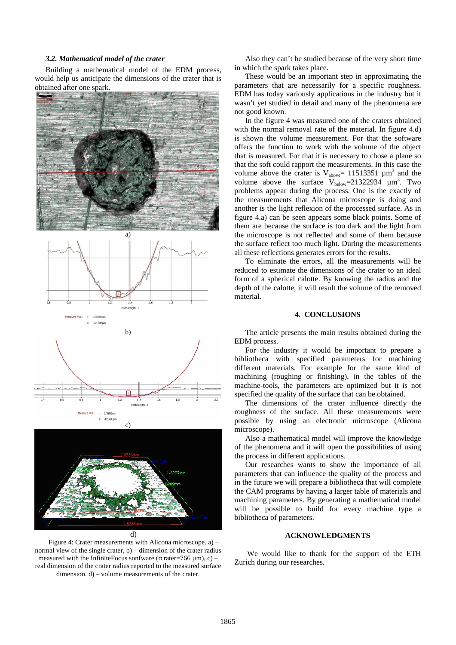#### *3.2. Mathematical model of the crater*

Building a mathematical model of the EDM process, would help us anticipate the dimensions of the crater that is obtained after one spark.



d)

Figure 4: Crater measurements with Alicona microscope. a) – normal view of the single crater, b) – dimension of the crater radius measured with the InfiniteFocus sonfware (rcrater=766  $\mu$ m), c) – real dimension of the crater radius reported to the measured surface dimension. d) – volume measurements of the crater.

Also they can't be studied because of the very short time in which the spark takes place.

These would be an important step in approximating the parameters that are necessarily for a specific roughness. EDM has today variously applications in the industry but it wasn't yet studied in detail and many of the phenomena are not good known.

In the figure 4 was measured one of the craters obtained with the normal removal rate of the material. In figure 4.d) is shown the volume measurement. For that the software offers the function to work with the volume of the object that is measured. For that it is necessary to chose a plane so that the soft could rapport the measurements. In this case the volume above the crater is  $V_{above}$  = 11513351  $\mu$ m<sup>3</sup> and the volume above the surface  $V_{\text{below}} = 21322934 \ \mu m^3$ . Two problems appear during the process. One is the exactly of the measurements that Alicona microscope is doing and another is the light reflexion of the processed surface. As in figure 4.a) can be seen appears some black points. Some of them are because the surface is too dark and the light from the microscope is not reflected and some of them because the surface reflect too much light. During the measurements all these reflections generates errors for the results.

To eliminate the errors, all the measurements will be reduced to estimate the dimensions of the crater to an ideal form of a spherical calotte. By knowing the radius and the depth of the calotte, it will result the volume of the removed material.

#### **4. CONCLUSIONS**

The article presents the main results obtained during the EDM process.

For the industry it would be important to prepare a bibliotheca with specified parameters for machining different materials. For example for the same kind of machining (roughing or finishing), in the tables of the machine-tools, the parameters are optimized but it is not specified the quality of the surface that can be obtained.

The dimensions of the crater influence directly the roughness of the surface. All these measurements were possible by using an electronic microscope (Alicona microscope).

Also a mathematical model will improve the knowledge of the phenomena and it will open the possibilities of using the process in different applications.

Our researches wants to show the importance of all parameters that can influence the quality of the process and in the future we will prepare a bibliotheca that will complete the CAM programs by having a larger table of materials and machining parameters. By generating a mathematical model will be possible to build for every machine type a bibliotheca of parameters.

#### **ACKNOWLEDGMENTS**

 We would like to thank for the support of the ETH Zurich during our researches.